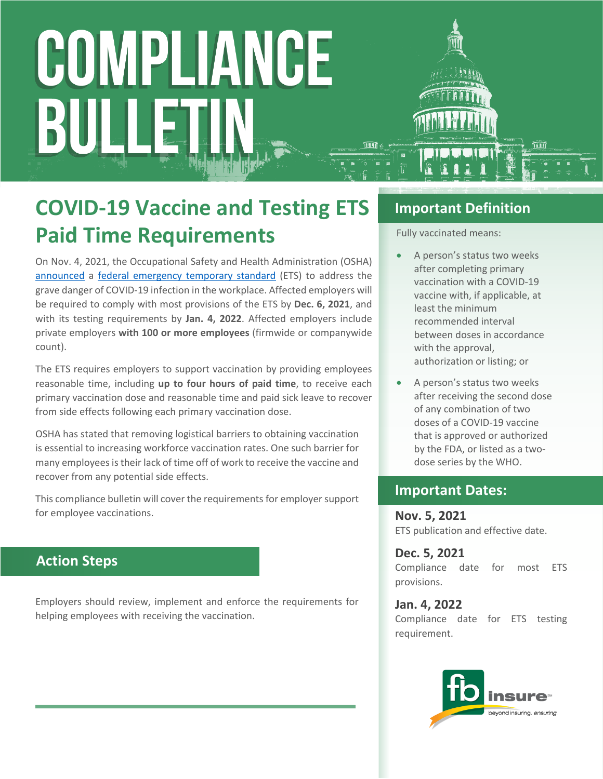# COMPLIANCE BULI

### **COVID-19 Vaccine and Testing ETS Paid Time Requirements**

On Nov. 4, 2021, the Occupational Safety and Health Administration (OSHA) [announced](https://www.osha.gov/news/newsreleases/national/11042021) a [federal emergency temporary standard](https://www.federalregister.gov/public-inspection/2021-23643/covid-19-vaccination-and-testing-emergency-temporary-standard) (ETS) to address the grave danger of COVID-19 infection in the workplace. Affected employers will be required to comply with most provisions of the ETS by **Dec. 6, 2021**, and with its testing requirements by **Jan. 4, 2022**. Affected employers include private employers **with 100 or more employees** (firmwide or companywide count).

The ETS requires employers to support vaccination by providing employees reasonable time, including **up to four hours of paid time**, to receive each primary vaccination dose and reasonable time and paid sick leave to recover from side effects following each primary vaccination dose.

OSHA has stated that removing logistical barriers to obtaining vaccination is essential to increasing workforce vaccination rates. One such barrier for many employees is their lack of time off of work to receive the vaccine and recover from any potential side effects.

This compliance bulletin will cover the requirements for employer support for employee vaccinations.

#### **Action Steps**

Employers should review, implement and enforce the requirements for helping employees with receiving the vaccination.

#### **Important Definition**

Fully vaccinated means:

- A person's status two weeks after completing primary vaccination with a COVID-19 vaccine with, if applicable, at least the minimum recommended interval between doses in accordance with the approval, authorization or listing; or
- A person's status two weeks after receiving the second dose of any combination of two doses of a COVID-19 vaccine that is approved or authorized by the FDA, or listed as a twodose series by the WHO.

#### **Important Dates:**

**Nov. 5, 2021** ETS publication and effective date.

**Dec. 5, 2021** Compliance date for most ETS provisions.

**Jan. 4, 2022** Compliance date for ETS testing requirement.

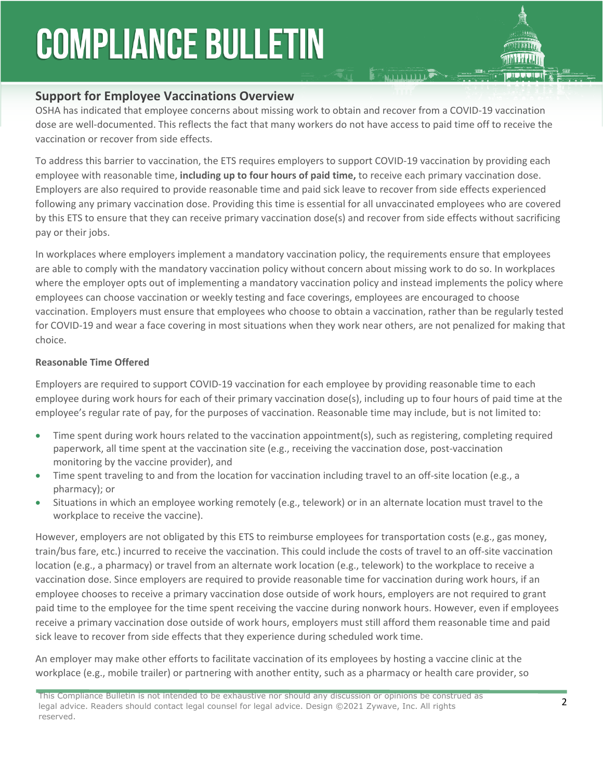### **COMPLIANCE BULLETIN**



#### **Support for Employee Vaccinations Overview**

OSHA has indicated that employee concerns about missing work to obtain and recover from a COVID-19 vaccination dose are well-documented. This reflects the fact that many workers do not have access to paid time off to receive the vaccination or recover from side effects.

**E FALLID LIDE** 

To address this barrier to vaccination, the ETS requires employers to support COVID-19 vaccination by providing each employee with reasonable time, **including up to four hours of paid time,** to receive each primary vaccination dose. Employers are also required to provide reasonable time and paid sick leave to recover from side effects experienced following any primary vaccination dose. Providing this time is essential for all unvaccinated employees who are covered by this ETS to ensure that they can receive primary vaccination dose(s) and recover from side effects without sacrificing pay or their jobs.

In workplaces where employers implement a mandatory vaccination policy, the requirements ensure that employees are able to comply with the mandatory vaccination policy without concern about missing work to do so. In workplaces where the employer opts out of implementing a mandatory vaccination policy and instead implements the policy where employees can choose vaccination or weekly testing and face coverings, employees are encouraged to choose vaccination. Employers must ensure that employees who choose to obtain a vaccination, rather than be regularly tested for COVID-19 and wear a face covering in most situations when they work near others, are not penalized for making that choice.

#### **Reasonable Time Offered**

Employers are required to support COVID-19 vaccination for each employee by providing reasonable time to each employee during work hours for each of their primary vaccination dose(s), including up to four hours of paid time at the employee's regular rate of pay, for the purposes of vaccination. Reasonable time may include, but is not limited to:

- Time spent during work hours related to the vaccination appointment(s), such as registering, completing required paperwork, all time spent at the vaccination site (e.g., receiving the vaccination dose, post-vaccination monitoring by the vaccine provider), and
- Time spent traveling to and from the location for vaccination including travel to an off-site location (e.g., a pharmacy); or
- Situations in which an employee working remotely (e.g., telework) or in an alternate location must travel to the workplace to receive the vaccine).

However, employers are not obligated by this ETS to reimburse employees for transportation costs (e.g., gas money, train/bus fare, etc.) incurred to receive the vaccination. This could include the costs of travel to an off-site vaccination location (e.g., a pharmacy) or travel from an alternate work location (e.g., telework) to the workplace to receive a vaccination dose. Since employers are required to provide reasonable time for vaccination during work hours, if an employee chooses to receive a primary vaccination dose outside of work hours, employers are not required to grant paid time to the employee for the time spent receiving the vaccine during nonwork hours. However, even if employees receive a primary vaccination dose outside of work hours, employers must still afford them reasonable time and paid sick leave to recover from side effects that they experience during scheduled work time.

An employer may make other efforts to facilitate vaccination of its employees by hosting a vaccine clinic at the workplace (e.g., mobile trailer) or partnering with another entity, such as a pharmacy or health care provider, so

This Compliance Bulletin is not intended to be exhaustive nor should any discussion or opinions be construed as legal advice. Readers should contact legal counsel for legal advice. Design ©2021 Zywave, Inc. All rights reserved.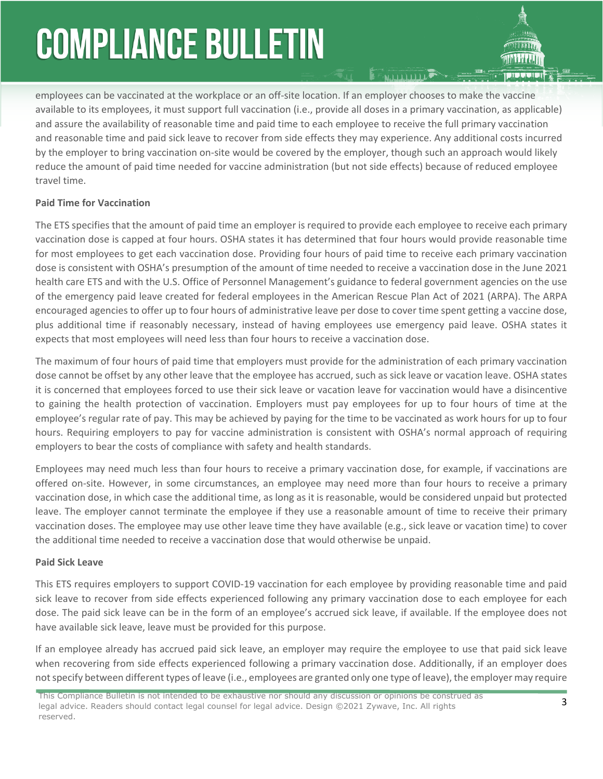## **COMPLIANCE BULLETIN**

employees can be vaccinated at the workplace or an off-site location. If an employer chooses to make the vaccine available to its employees, it must support full vaccination (i.e., provide all doses in a primary vaccination, as applicable) and assure the availability of reasonable time and paid time to each employee to receive the full primary vaccination and reasonable time and paid sick leave to recover from side effects they may experience. Any additional costs incurred by the employer to bring vaccination on-site would be covered by the employer, though such an approach would likely reduce the amount of paid time needed for vaccine administration (but not side effects) because of reduced employee travel time.

#### **Paid Time for Vaccination**

The ETS specifies that the amount of paid time an employer is required to provide each employee to receive each primary vaccination dose is capped at four hours. OSHA states it has determined that four hours would provide reasonable time for most employees to get each vaccination dose. Providing four hours of paid time to receive each primary vaccination dose is consistent with OSHA's presumption of the amount of time needed to receive a vaccination dose in the June 2021 health care ETS and with the U.S. Office of Personnel Management's guidance to federal government agencies on the use of the emergency paid leave created for federal employees in the American Rescue Plan Act of 2021 (ARPA). The ARPA encouraged agencies to offer up to four hours of administrative leave per dose to cover time spent getting a vaccine dose, plus additional time if reasonably necessary, instead of having employees use emergency paid leave. OSHA states it expects that most employees will need less than four hours to receive a vaccination dose.

The maximum of four hours of paid time that employers must provide for the administration of each primary vaccination dose cannot be offset by any other leave that the employee has accrued, such as sick leave or vacation leave. OSHA states it is concerned that employees forced to use their sick leave or vacation leave for vaccination would have a disincentive to gaining the health protection of vaccination. Employers must pay employees for up to four hours of time at the employee's regular rate of pay. This may be achieved by paying for the time to be vaccinated as work hours for up to four hours. Requiring employers to pay for vaccine administration is consistent with OSHA's normal approach of requiring employers to bear the costs of compliance with safety and health standards.

Employees may need much less than four hours to receive a primary vaccination dose, for example, if vaccinations are offered on-site. However, in some circumstances, an employee may need more than four hours to receive a primary vaccination dose, in which case the additional time, as long as it is reasonable, would be considered unpaid but protected leave. The employer cannot terminate the employee if they use a reasonable amount of time to receive their primary vaccination doses. The employee may use other leave time they have available (e.g., sick leave or vacation time) to cover the additional time needed to receive a vaccination dose that would otherwise be unpaid.

#### **Paid Sick Leave**

This ETS requires employers to support COVID-19 vaccination for each employee by providing reasonable time and paid sick leave to recover from side effects experienced following any primary vaccination dose to each employee for each dose. The paid sick leave can be in the form of an employee's accrued sick leave, if available. If the employee does not have available sick leave, leave must be provided for this purpose.

If an employee already has accrued paid sick leave, an employer may require the employee to use that paid sick leave when recovering from side effects experienced following a primary vaccination dose. Additionally, if an employer does not specify between different types of leave (i.e., employees are granted only one type of leave), the employer may require